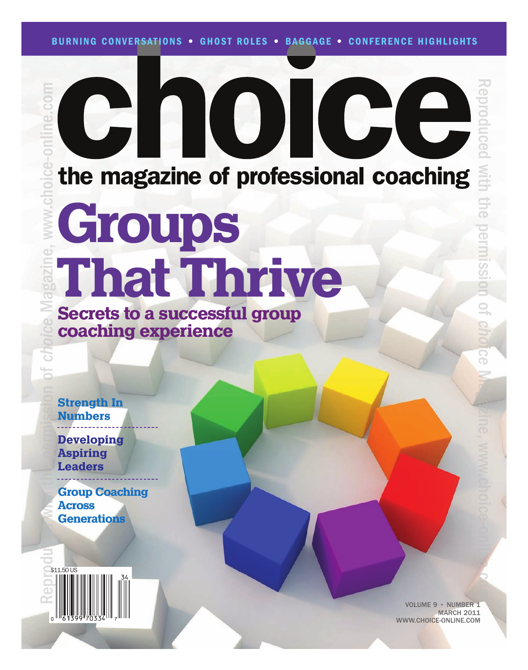### C the magazine of professional coaching Groups That Thrive Secrets to a successful group coaching experience

Strength In Numbers

Developing Aspiring Leaders

Group Coaching Across **Generations** 



VOLUME 9 • NUMBER 1 MARCH<sub>2011</sub> WWW.CHOICE-ONLINE.COM

Reproduced

with

the

permission

 $\supseteq$ 

*choice*

Ma<sub>d</sub>izine,

www.choice-online.com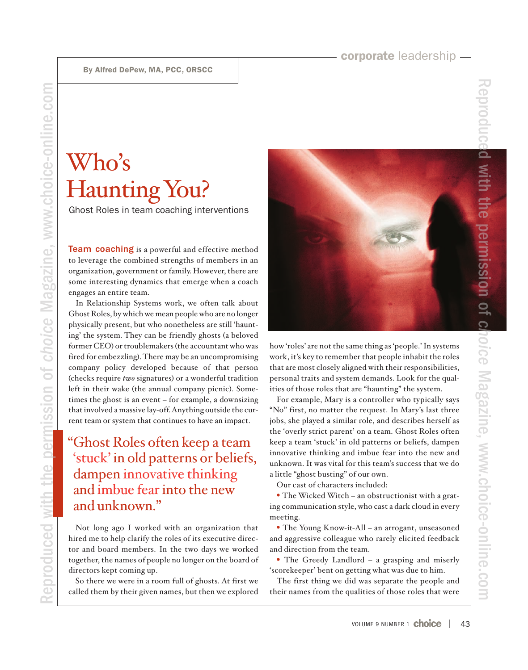Reproduced

with

the

permission

of

*choice*

Magazine,

www.choice-online.com

# Who's Haunting You?

Ghost Roles in team coaching interventions

**Team coaching** is a powerful and effective method to leverage the combined strengths of members in an organization, government or family. However, there are some interesting dynamics that emerge when a coach engages an entire team.

In Relationship Systems work, we often talk about Ghost Roles, by which we mean people who are no longer physically present, but who nonetheless are still 'haunting' the system. They can be friendly ghosts (a beloved former CEO) or troublemakers (the accountant who was fired for embezzling). There may be an uncompromising company policy developed because of that person (checks require *two* signatures) or a wonderful tradition left in their wake (the annual company picnic). Sometimes the ghost is an event – for example, a downsizing that involved a massive lay-off. Anything outside the current team or system that continues to have an impact.

### "Ghost Roles often keep a team 'stuck' in old patterns or beliefs, dampen innovative thinking and imbue fearinto the new and unknown."

Not long ago I worked with an organization that hired me to help clarify the roles of its executive director and board members. In the two days we worked together, the names of people no longer on the board of directors kept coming up.

So there we were in a room full of ghosts. At first we called them by their given names, but then we explored



work, it's key to remember that people inhabit the roles that are most closely aligned with their responsibilities, personal traits and system demands. Look for the qualities of those roles that are "haunting" the system.

For example, Mary is a controller who typically says "No" first, no matter the request. In Mary's last three jobs, she played a similar role, and describes herself as the 'overly strict parent' on a team. Ghost Roles often keep a team 'stuck' in old patterns or beliefs, dampen innovative thinking and imbue fear into the new and unknown. It was vital for this team's success that we do a little "ghost busting" of our own.

Our cast of characters included:

• The Wicked Witch – an obstructionist with a grating communication style, who cast a dark cloud in every meeting.

• The Young Know-it-All – an arrogant, unseasoned and aggressive colleague who rarely elicited feedback and direction from the team.

• The Greedy Landlord – a grasping and miserly 'scorekeeper' bent on getting what was due to him.

The first thing we did was separate the people and their names from the qualities of those roles that were